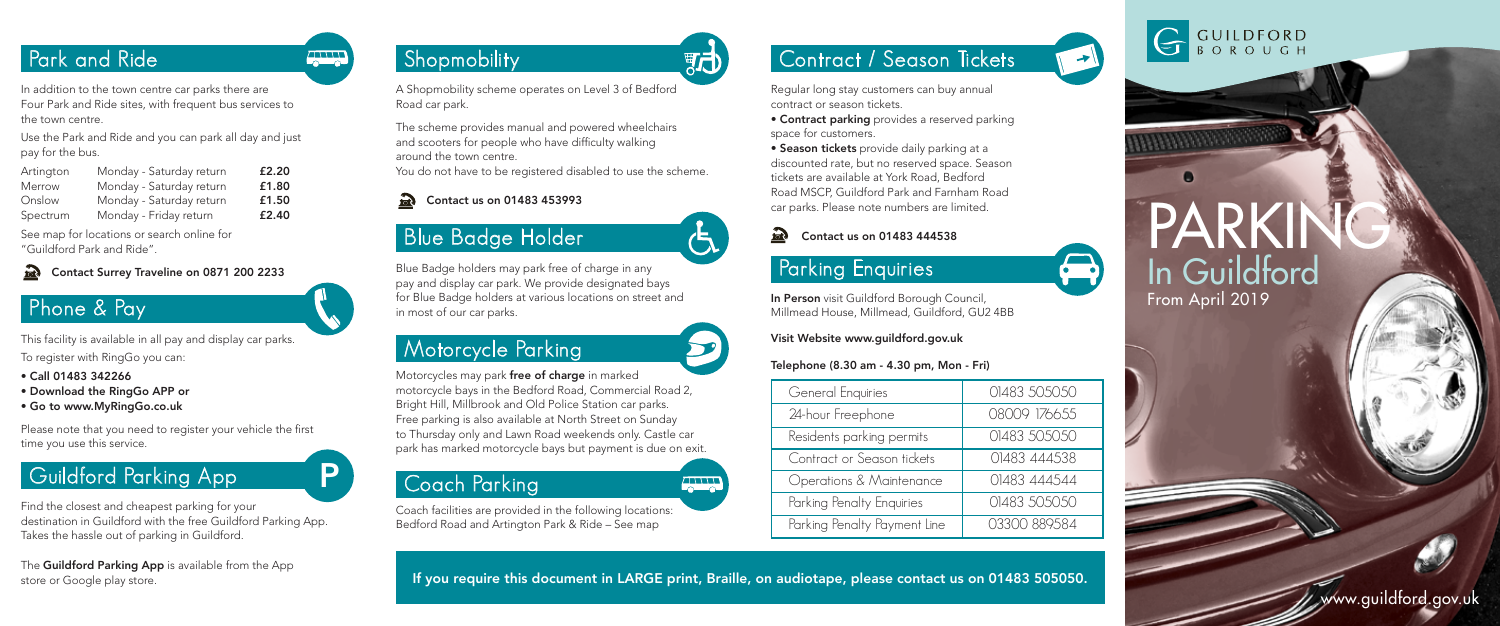### Park and Ride

In addition to the town centre car parks there are Four Park and Ride sites, with frequent bus services to the town centre.

Use the Park and Ride and you can park all day and just pay for the bus.

| Artington | Monday - Saturday return | £2.20 |
|-----------|--------------------------|-------|
| Merrow    | Monday - Saturday return | £1.80 |
| Onslow    | Monday - Saturday return | £1.50 |
| Spectrum  | Monday - Friday return   | £2.40 |

See map for locations or search online for "Guildford Park and Ride".

#### Contact Surrey Traveline on 0871 200 2233  $\mathcal{F}_{\text{ot}}$

#### Phone & Pay

This facility is available in all pay and display car parks. To register with RingGo you can:

- Call 01483 342266
- Download the RingGo APP or
- Go to www.MyRingGo.co.uk

Please note that you need to register your vehicle the first time you use this service.

## Guildford Parking App P

Find the closest and cheapest parking for your destination in Guildford with the free Guildford Parking App. Takes the hassle out of parking in Guildford.

The Guildford Parking App is available from the App store or Google play store.

## **Shopmobility**

**ATTA** 

A Shopmobility scheme operates on Level 3 of Bedford Road car park.

The scheme provides manual and powered wheelchairs and scooters for people who have difficulty walking around the town centre. You do not have to be registered disabled to use the scheme.

#### Contact us on 01483 453993  $\Omega$

# Blue Badge Holder

Blue Badge holders may park free of charge in any pay and display car park. We provide designated bays for Blue Badge holders at various locations on street and in most of our car parks.

### Motorcycle Parking

Motorcycles may park free of charge in marked motorcycle bays in the Bedford Road, Commercial Road 2, Bright Hill, Millbrook and Old Police Station car parks. Free parking is also available at North Street on Sunday to Thursday only and Lawn Road weekends only. Castle car park has marked motorcycle bays but payment is due on exit.

#### Coach Parking

Coach facilities are provided in the following locations: Bedford Road and Artington Park & Ride – See map

## Contract / Season Tickets

Regular long stay customers can buy annual contract or season tickets.

• Contract parking provides a reserved parking space for customers.

• Season tickets provide daily parking at a discounted rate, but no reserved space. Season tickets are available at York Road, Bedford Road MSCP, Guildford Park and Farnham Road car parks. Please note numbers are limited.

#### Contact us on 01483 444538

#### Parking Enquiries

In Person visit Guildford Borough Council, Millmead House, Millmead, Guildford, GU2 4BB

#### Visit Website www.guildford.gov.uk

#### Telephone (8.30 am - 4.30 pm, Mon - Fri)

| General Enquiries            | 01483 505050 |
|------------------------------|--------------|
| 24-hour Freephone            | 08009 176655 |
| Residents parking permits    | 01483 505050 |
| Contract or Season tickets   | 01483 444538 |
| Operations & Maintenance     | 01483 444544 |
| Parking Penalty Enquiries    | 01483 505050 |
| Parking Penalty Payment Line | 03300 889584 |
|                              |              |



 $\rightarrow$ 

le)

PARK In Guildford From April 2019

If you require this document in LARGE print, Braille, on audiotape, please contact us on 01483 505050.

**ANNA** 

í

邪己

www.guildford.gov.uk